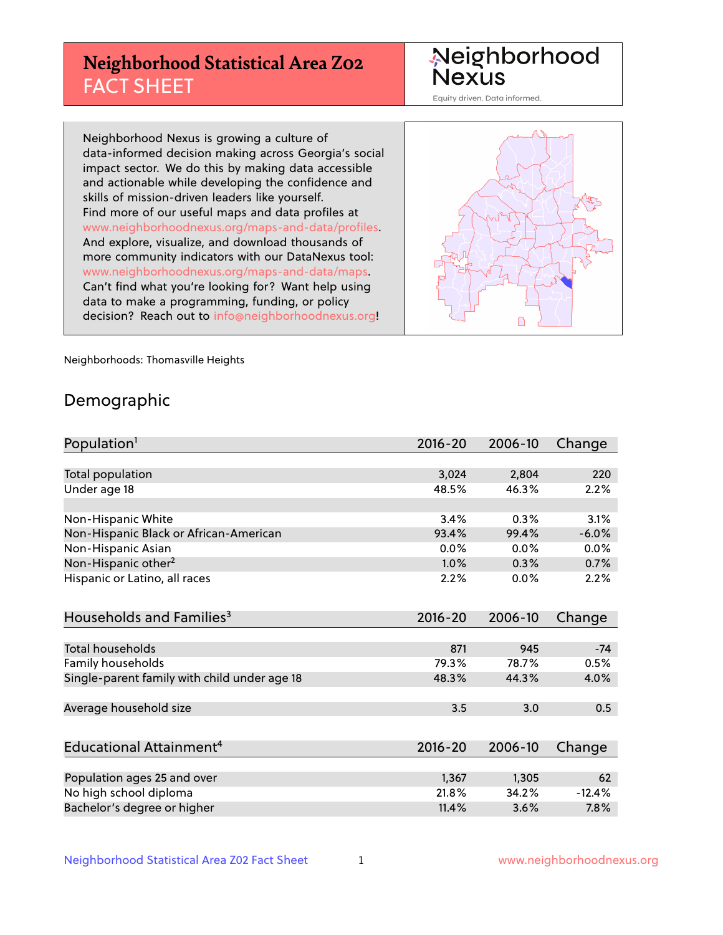# **Neighborhood Statistical Area Z02** FACT SHEET

Neighborhood Nexus

Equity driven. Data informed.

Neighborhood Nexus is growing a culture of data-informed decision making across Georgia's social impact sector. We do this by making data accessible and actionable while developing the confidence and skills of mission-driven leaders like yourself. Find more of our useful maps and data profiles at www.neighborhoodnexus.org/maps-and-data/profiles. And explore, visualize, and download thousands of more community indicators with our DataNexus tool: www.neighborhoodnexus.org/maps-and-data/maps. Can't find what you're looking for? Want help using data to make a programming, funding, or policy decision? Reach out to [info@neighborhoodnexus.org!](mailto:info@neighborhoodnexus.org)



Neighborhoods: Thomasville Heights

### Demographic

| Population <sup>1</sup>                      | $2016 - 20$ | 2006-10 | Change   |
|----------------------------------------------|-------------|---------|----------|
|                                              |             |         |          |
| Total population                             | 3,024       | 2,804   | 220      |
| Under age 18                                 | 48.5%       | 46.3%   | 2.2%     |
|                                              |             |         |          |
| Non-Hispanic White                           | 3.4%        | 0.3%    | 3.1%     |
| Non-Hispanic Black or African-American       | 93.4%       | 99.4%   | $-6.0%$  |
| Non-Hispanic Asian                           | 0.0%        | 0.0%    | 0.0%     |
| Non-Hispanic other <sup>2</sup>              | 1.0%        | 0.3%    | 0.7%     |
| Hispanic or Latino, all races                | 2.2%        | 0.0%    | 2.2%     |
| Households and Families <sup>3</sup>         | $2016 - 20$ | 2006-10 | Change   |
|                                              |             |         |          |
| <b>Total households</b>                      | 871         | 945     | $-74$    |
| Family households                            | 79.3%       | 78.7%   | 0.5%     |
| Single-parent family with child under age 18 | 48.3%       | 44.3%   | 4.0%     |
| Average household size                       | 3.5         | 3.0     | 0.5      |
|                                              |             |         |          |
| Educational Attainment <sup>4</sup>          | $2016 - 20$ | 2006-10 | Change   |
|                                              |             |         |          |
| Population ages 25 and over                  | 1,367       | 1,305   | 62       |
| No high school diploma                       | 21.8%       | 34.2%   | $-12.4%$ |
| Bachelor's degree or higher                  | 11.4%       | 3.6%    | 7.8%     |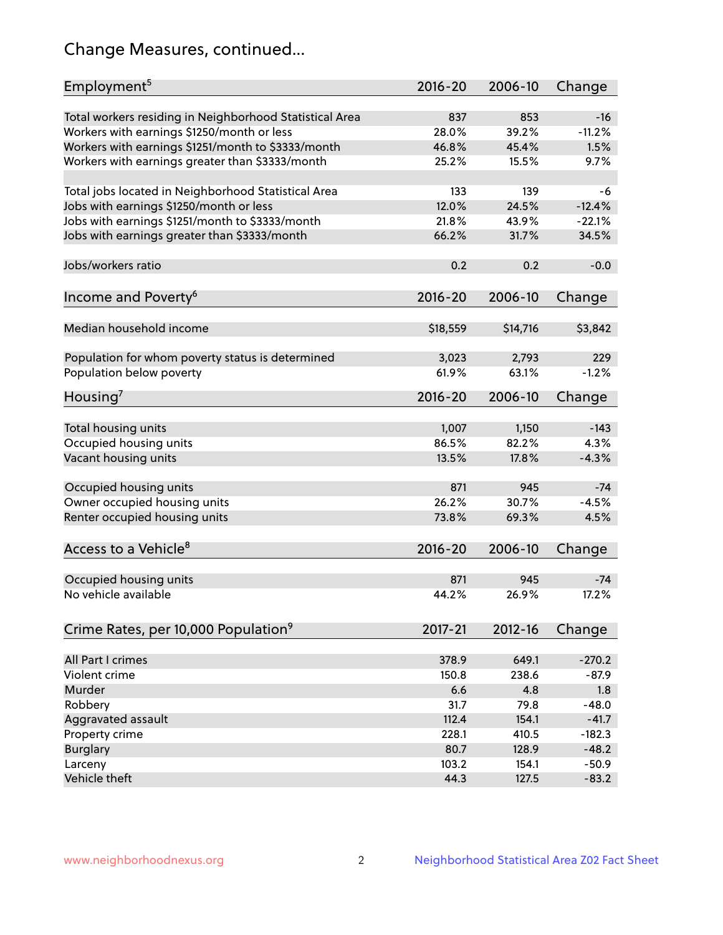# Change Measures, continued...

| Employment <sup>5</sup>                                 | $2016 - 20$ | 2006-10  | Change   |
|---------------------------------------------------------|-------------|----------|----------|
|                                                         |             |          |          |
| Total workers residing in Neighborhood Statistical Area | 837         | 853      | $-16$    |
| Workers with earnings \$1250/month or less              | 28.0%       | 39.2%    | $-11.2%$ |
| Workers with earnings \$1251/month to \$3333/month      | 46.8%       | 45.4%    | 1.5%     |
| Workers with earnings greater than \$3333/month         | 25.2%       | 15.5%    | 9.7%     |
| Total jobs located in Neighborhood Statistical Area     | 133         | 139      | -6       |
| Jobs with earnings \$1250/month or less                 | 12.0%       | 24.5%    | $-12.4%$ |
| Jobs with earnings \$1251/month to \$3333/month         | 21.8%       | 43.9%    | $-22.1%$ |
| Jobs with earnings greater than \$3333/month            | 66.2%       | 31.7%    | 34.5%    |
|                                                         |             |          |          |
| Jobs/workers ratio                                      | 0.2         | 0.2      | $-0.0$   |
|                                                         |             |          |          |
| Income and Poverty <sup>6</sup>                         | 2016-20     | 2006-10  | Change   |
|                                                         |             |          |          |
| Median household income                                 | \$18,559    | \$14,716 | \$3,842  |
|                                                         |             |          |          |
| Population for whom poverty status is determined        | 3,023       | 2,793    | 229      |
| Population below poverty                                | 61.9%       | 63.1%    | $-1.2%$  |
| Housing <sup>7</sup>                                    | 2016-20     | 2006-10  | Change   |
|                                                         |             |          |          |
| Total housing units                                     | 1,007       | 1,150    | $-143$   |
| Occupied housing units                                  | 86.5%       | 82.2%    | 4.3%     |
| Vacant housing units                                    | 13.5%       | 17.8%    | $-4.3%$  |
|                                                         |             |          |          |
| Occupied housing units                                  | 871         | 945      | $-74$    |
| Owner occupied housing units                            | 26.2%       | 30.7%    | $-4.5%$  |
| Renter occupied housing units                           | 73.8%       | 69.3%    | 4.5%     |
|                                                         |             |          |          |
| Access to a Vehicle <sup>8</sup>                        | $2016 - 20$ | 2006-10  | Change   |
| Occupied housing units                                  | 871         | 945      | $-74$    |
| No vehicle available                                    | 44.2%       | 26.9%    | 17.2%    |
|                                                         |             |          |          |
| Crime Rates, per 10,000 Population <sup>9</sup>         | 2017-21     | 2012-16  | Change   |
|                                                         |             |          |          |
| All Part I crimes                                       | 378.9       | 649.1    | $-270.2$ |
| Violent crime                                           | 150.8       | 238.6    | $-87.9$  |
| Murder                                                  | 6.6         | 4.8      | 1.8      |
| Robbery                                                 | 31.7        | 79.8     | $-48.0$  |
| Aggravated assault                                      | 112.4       | 154.1    | $-41.7$  |
| Property crime                                          | 228.1       | 410.5    | $-182.3$ |
| <b>Burglary</b>                                         | 80.7        | 128.9    | $-48.2$  |
| Larceny                                                 | 103.2       | 154.1    | $-50.9$  |
| Vehicle theft                                           | 44.3        | 127.5    | $-83.2$  |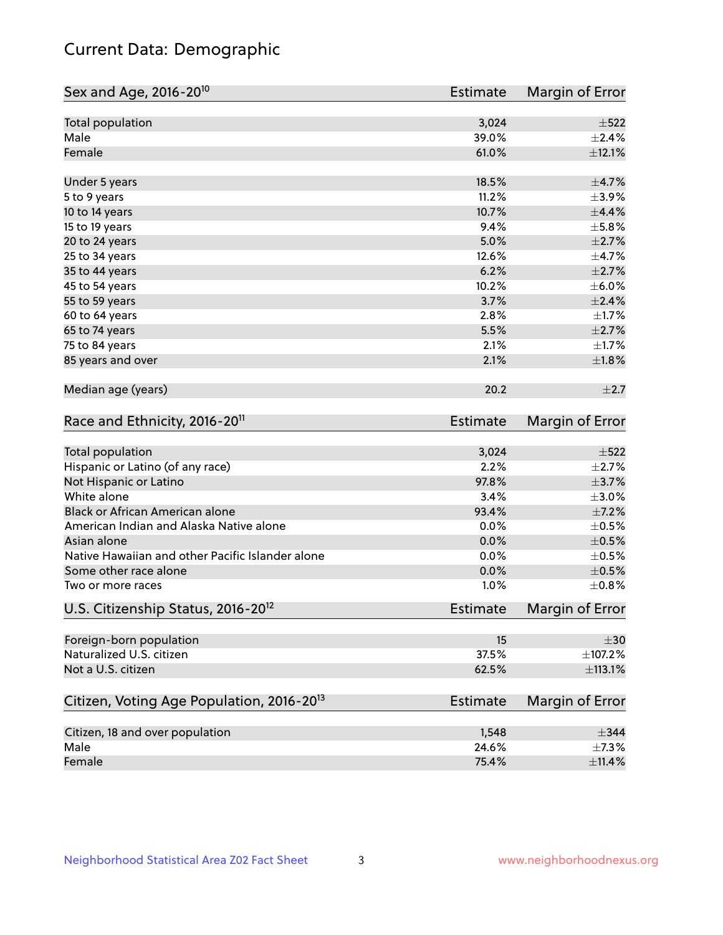# Current Data: Demographic

| Sex and Age, 2016-20 <sup>10</sup>                    | Estimate        | Margin of Error |
|-------------------------------------------------------|-----------------|-----------------|
| Total population                                      | 3,024           | $\pm$ 522       |
| Male                                                  | 39.0%           | $\pm 2.4\%$     |
| Female                                                | 61.0%           | ±12.1%          |
| Under 5 years                                         | 18.5%           | $\pm$ 4.7%      |
| 5 to 9 years                                          | 11.2%           | $\pm$ 3.9%      |
| 10 to 14 years                                        | 10.7%           | $\pm$ 4.4%      |
| 15 to 19 years                                        | 9.4%            | ±5.8%           |
| 20 to 24 years                                        | 5.0%            | $\pm 2.7\%$     |
| 25 to 34 years                                        | 12.6%           | $\pm$ 4.7%      |
| 35 to 44 years                                        | 6.2%            | $\pm 2.7\%$     |
| 45 to 54 years                                        | 10.2%           | $\pm$ 6.0%      |
| 55 to 59 years                                        | 3.7%            | $\pm 2.4\%$     |
| 60 to 64 years                                        | 2.8%            | $\pm1.7\%$      |
| 65 to 74 years                                        | 5.5%            | $\pm 2.7\%$     |
| 75 to 84 years                                        | 2.1%            | $\pm1.7\%$      |
| 85 years and over                                     | 2.1%            | ±1.8%           |
| Median age (years)                                    | 20.2            | $\pm 2.7$       |
| Race and Ethnicity, 2016-20 <sup>11</sup>             | <b>Estimate</b> | Margin of Error |
| Total population                                      | 3,024           | $\pm$ 522       |
| Hispanic or Latino (of any race)                      | 2.2%            | $\pm 2.7\%$     |
| Not Hispanic or Latino                                | 97.8%           | $\pm$ 3.7%      |
| White alone                                           | 3.4%            | $\pm$ 3.0%      |
| Black or African American alone                       | 93.4%           | $\pm$ 7.2%      |
| American Indian and Alaska Native alone               | 0.0%            | $\pm$ 0.5%      |
| Asian alone                                           | 0.0%            | $\pm$ 0.5%      |
| Native Hawaiian and other Pacific Islander alone      | 0.0%            | $\pm$ 0.5%      |
| Some other race alone                                 | 0.0%            | $\pm$ 0.5%      |
| Two or more races                                     | 1.0%            | $\pm$ 0.8%      |
| U.S. Citizenship Status, 2016-20 <sup>12</sup>        | Estimate        | Margin of Error |
| Foreign-born population                               | 15              | $\pm 30$        |
| Naturalized U.S. citizen                              | 37.5%           | ±107.2%         |
| Not a U.S. citizen                                    | 62.5%           | ±113.1%         |
| Citizen, Voting Age Population, 2016-20 <sup>13</sup> | Estimate        | Margin of Error |
| Citizen, 18 and over population                       | 1,548           | $\pm$ 344       |
| Male                                                  | 24.6%           | $\pm$ 7.3%      |
| Female                                                | 75.4%           | $\pm$ 11.4%     |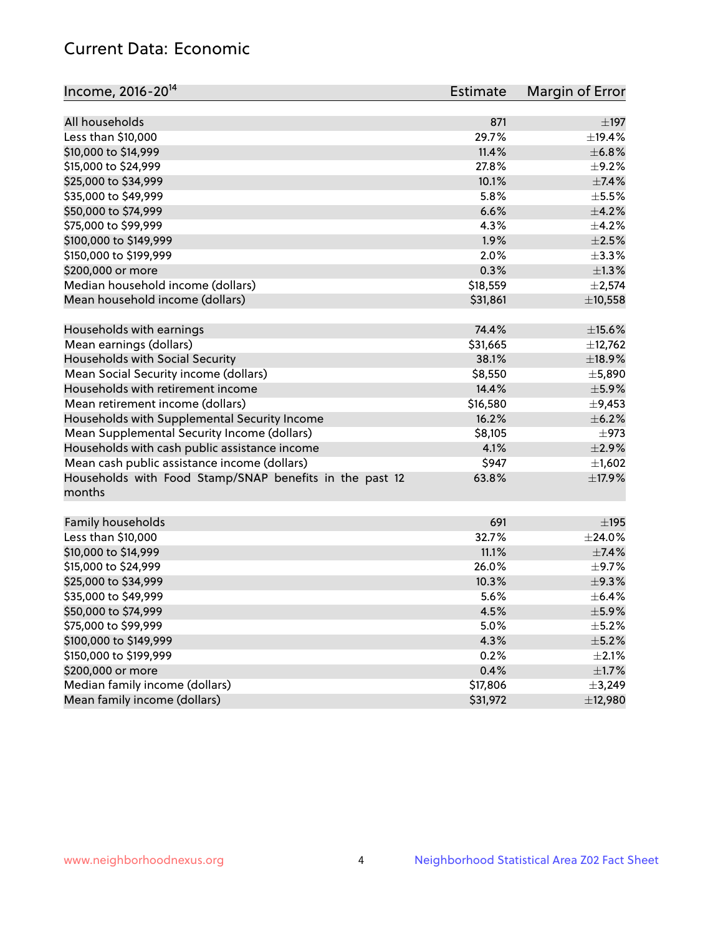# Current Data: Economic

| Income, 2016-20 <sup>14</sup>                           | Estimate | Margin of Error          |
|---------------------------------------------------------|----------|--------------------------|
|                                                         |          |                          |
| All households                                          | 871      | $\pm$ 197                |
| Less than \$10,000                                      | 29.7%    | ±19.4%                   |
| \$10,000 to \$14,999                                    | 11.4%    | ±6.8%                    |
| \$15,000 to \$24,999                                    | 27.8%    | $\pm$ 9.2%               |
| \$25,000 to \$34,999                                    | 10.1%    | $\pm$ 7.4%               |
| \$35,000 to \$49,999                                    | 5.8%     | $\pm$ 5.5%               |
| \$50,000 to \$74,999                                    | 6.6%     | $\pm$ 4.2%               |
| \$75,000 to \$99,999                                    | 4.3%     | $\pm$ 4.2%               |
| \$100,000 to \$149,999                                  | 1.9%     | $\pm 2.5\%$              |
| \$150,000 to \$199,999                                  | 2.0%     | $\pm$ 3.3%               |
| \$200,000 or more                                       | 0.3%     | $\pm 1.3\%$              |
| Median household income (dollars)                       | \$18,559 | ±2,574                   |
| Mean household income (dollars)                         | \$31,861 | ±10,558                  |
| Households with earnings                                | 74.4%    | $\pm$ 15.6%              |
| Mean earnings (dollars)                                 | \$31,665 | ±12,762                  |
| Households with Social Security                         | 38.1%    | ±18.9%                   |
| Mean Social Security income (dollars)                   | \$8,550  | ±5,890                   |
| Households with retirement income                       | 14.4%    | $\pm$ 5.9%               |
| Mean retirement income (dollars)                        | \$16,580 | $\pm$ 9,453              |
| Households with Supplemental Security Income            | 16.2%    | $\pm$ 6.2%               |
| Mean Supplemental Security Income (dollars)             | \$8,105  | $\pm$ 973                |
| Households with cash public assistance income           | 4.1%     | $\pm 2.9\%$              |
| Mean cash public assistance income (dollars)            | \$947    | $\pm$ 1,602              |
| Households with Food Stamp/SNAP benefits in the past 12 | 63.8%    | ±17.9%                   |
| months                                                  |          |                          |
| Family households                                       | 691      | $\pm$ 195                |
| Less than \$10,000                                      | 32.7%    | $\pm 24.0\%$             |
| \$10,000 to \$14,999                                    | 11.1%    | $\pm$ 7.4%               |
| \$15,000 to \$24,999                                    | 26.0%    | $\pm$ 9.7%               |
| \$25,000 to \$34,999                                    | 10.3%    | ±9.3%                    |
| \$35,000 to \$49,999                                    | 5.6%     | $\pm$ 6.4%               |
|                                                         |          |                          |
| \$50,000 to \$74,999                                    | 4.5%     | $\pm$ 5.9%<br>$\pm$ 5.2% |
| \$75,000 to \$99,999<br>\$100,000 to \$149,999          | 5.0%     |                          |
|                                                         | 4.3%     | $\pm$ 5.2%               |
| \$150,000 to \$199,999                                  | 0.2%     | $\pm 2.1\%$              |
| \$200,000 or more                                       | 0.4%     | $\pm 1.7\%$              |
| Median family income (dollars)                          | \$17,806 | ±3,249                   |
| Mean family income (dollars)                            | \$31,972 | ±12,980                  |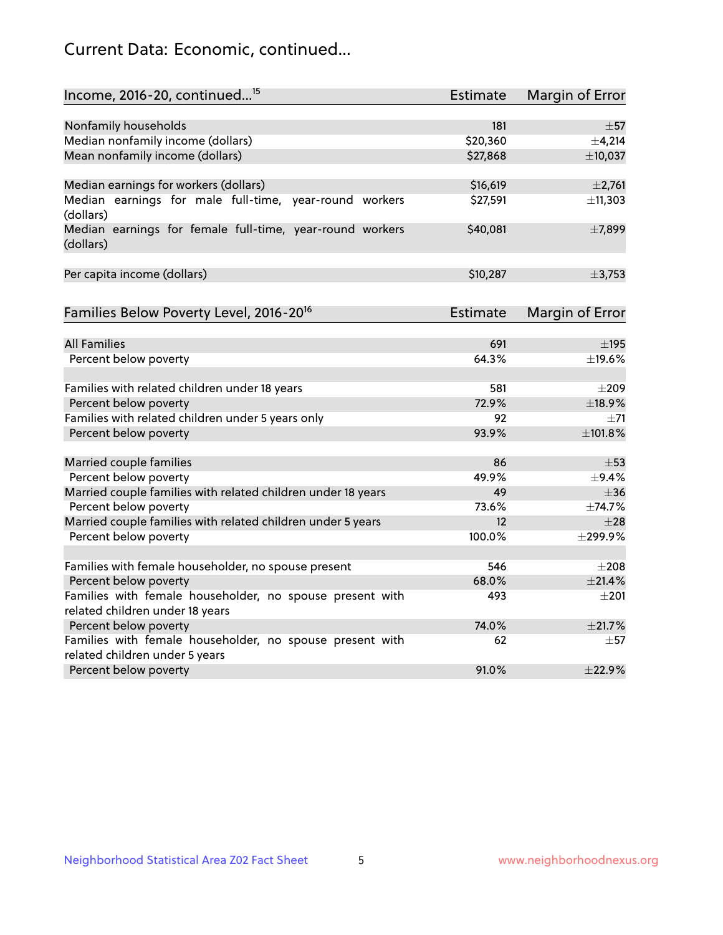# Current Data: Economic, continued...

| Income, 2016-20, continued <sup>15</sup>                              | <b>Estimate</b> | <b>Margin of Error</b> |
|-----------------------------------------------------------------------|-----------------|------------------------|
|                                                                       |                 |                        |
| Nonfamily households                                                  | 181             | $\pm$ 57               |
| Median nonfamily income (dollars)                                     | \$20,360        | $\pm$ 4,214            |
| Mean nonfamily income (dollars)                                       | \$27,868        | ±10,037                |
| Median earnings for workers (dollars)                                 | \$16,619        | ±2,761                 |
| Median earnings for male full-time, year-round workers<br>(dollars)   | \$27,591        | ±11,303                |
| Median earnings for female full-time, year-round workers<br>(dollars) | \$40,081        | ±7,899                 |
| Per capita income (dollars)                                           | \$10,287        | ±3,753                 |
| Families Below Poverty Level, 2016-20 <sup>16</sup>                   | <b>Estimate</b> | <b>Margin of Error</b> |
|                                                                       |                 |                        |
| <b>All Families</b>                                                   | 691             | $\pm$ 195              |
| Percent below poverty                                                 | 64.3%           | ±19.6%                 |
| Families with related children under 18 years                         | 581             | $\pm 209$              |
| Percent below poverty                                                 | 72.9%           | ±18.9%                 |
| Families with related children under 5 years only                     | 92              | $\pm$ 71               |
| Percent below poverty                                                 | 93.9%           | ±101.8%                |
| Married couple families                                               | 86              | $\pm$ 53               |
| Percent below poverty                                                 | 49.9%           | $\pm$ 9.4%             |
| Married couple families with related children under 18 years          | 49              | $\pm$ 36               |
| Percent below poverty                                                 | 73.6%           | ±74.7%                 |
| Married couple families with related children under 5 years           | 12              | $\pm 28$               |
| Percent below poverty                                                 | 100.0%          | ±299.9%                |
| Families with female householder, no spouse present                   | 546             | $\pm 208$              |
| Percent below poverty                                                 | 68.0%           | ±21.4%                 |
| Families with female householder, no spouse present with              | 493             | $\pm 201$              |
| related children under 18 years                                       |                 |                        |
| Percent below poverty                                                 | 74.0%           | ±21.7%                 |
| Families with female householder, no spouse present with              | 62              | $\pm 57$               |
| related children under 5 years                                        |                 |                        |
| Percent below poverty                                                 | 91.0%           | ±22.9%                 |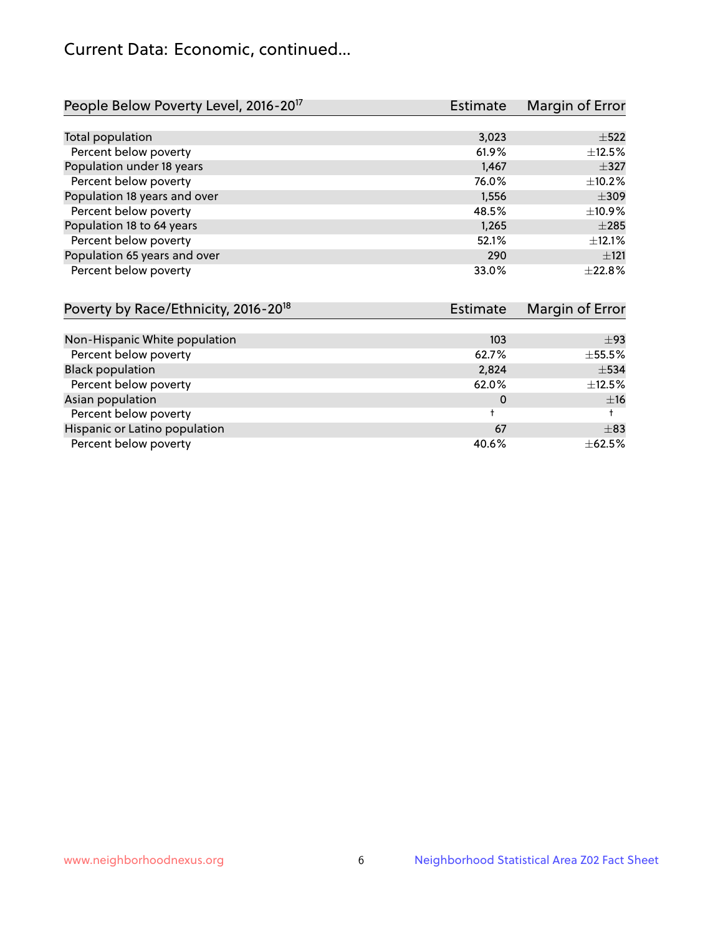# Current Data: Economic, continued...

| People Below Poverty Level, 2016-20 <sup>17</sup> | <b>Estimate</b> | Margin of Error |
|---------------------------------------------------|-----------------|-----------------|
|                                                   |                 |                 |
| Total population                                  | 3,023           | $\pm$ 522       |
| Percent below poverty                             | 61.9%           | ±12.5%          |
| Population under 18 years                         | 1,467           | $\pm$ 327       |
| Percent below poverty                             | 76.0%           | $\pm$ 10.2%     |
| Population 18 years and over                      | 1,556           | $\pm$ 309       |
| Percent below poverty                             | 48.5%           | ±10.9%          |
| Population 18 to 64 years                         | 1.265           | $\pm 285$       |
| Percent below poverty                             | 52.1%           | ±12.1%          |
| Population 65 years and over                      | 290             | $+121$          |
| Percent below poverty                             | 33.0%           | $+22.8%$        |

| Poverty by Race/Ethnicity, 2016-20 <sup>18</sup> | <b>Estimate</b> |             |
|--------------------------------------------------|-----------------|-------------|
|                                                  |                 |             |
| Non-Hispanic White population                    | 103             | ±93         |
| Percent below poverty                            | 62.7%           | $\pm$ 55.5% |
| <b>Black population</b>                          | 2,824           | $\pm$ 534   |
| Percent below poverty                            | 62.0%           | $\pm$ 12.5% |
| Asian population                                 | 0               | ±16         |
| Percent below poverty                            |                 |             |
| Hispanic or Latino population                    | 67              | $\pm$ 83    |
| Percent below poverty                            | 40.6%           | $\pm$ 62.5% |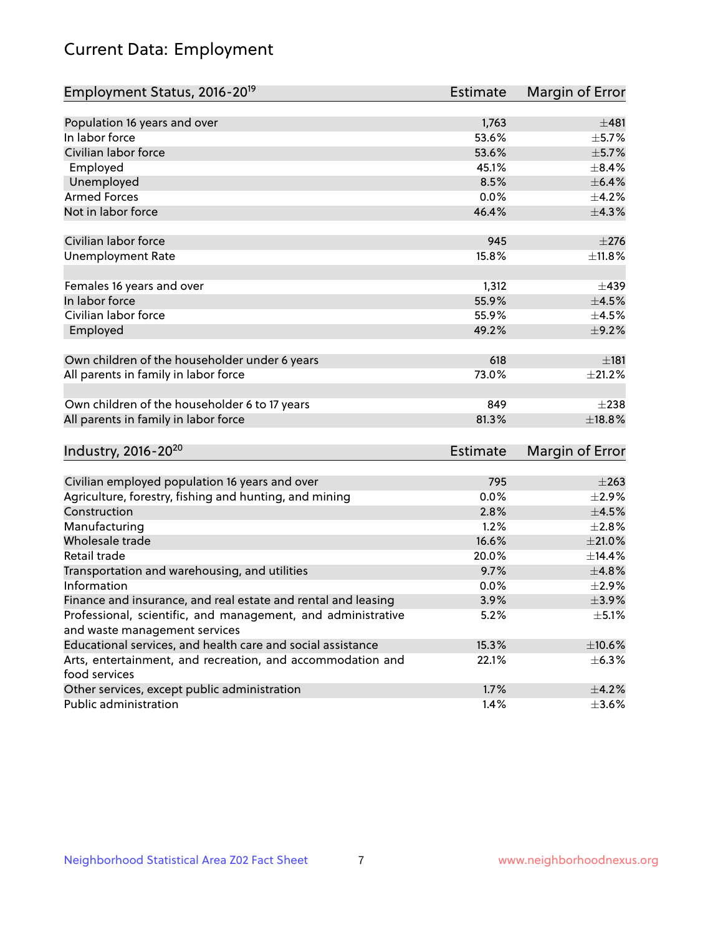# Current Data: Employment

| Employment Status, 2016-20 <sup>19</sup>                                    | <b>Estimate</b> | Margin of Error |
|-----------------------------------------------------------------------------|-----------------|-----------------|
|                                                                             |                 |                 |
| Population 16 years and over                                                | 1,763           | ±481            |
| In labor force                                                              | 53.6%           | $\pm$ 5.7%      |
| Civilian labor force                                                        | 53.6%           | $\pm$ 5.7%      |
| Employed                                                                    | 45.1%           | $\pm$ 8.4%      |
| Unemployed                                                                  | 8.5%            | $\pm$ 6.4%      |
| <b>Armed Forces</b>                                                         | 0.0%            | $\pm$ 4.2%      |
| Not in labor force                                                          | 46.4%           | ±4.3%           |
| Civilian labor force                                                        | 945             | $\pm 276$       |
| <b>Unemployment Rate</b>                                                    | 15.8%           | ±11.8%          |
| Females 16 years and over                                                   | 1,312           | $\pm$ 439       |
| In labor force                                                              | 55.9%           | $\pm 4.5\%$     |
| Civilian labor force                                                        | 55.9%           | $\pm$ 4.5%      |
| Employed                                                                    | 49.2%           | $\pm$ 9.2%      |
|                                                                             |                 |                 |
| Own children of the householder under 6 years                               | 618             | ±181            |
| All parents in family in labor force                                        | 73.0%           | ±21.2%          |
| Own children of the householder 6 to 17 years                               | 849             | $\pm 238$       |
| All parents in family in labor force                                        | 81.3%           | $\pm$ 18.8%     |
|                                                                             |                 |                 |
| Industry, 2016-20 <sup>20</sup>                                             | <b>Estimate</b> | Margin of Error |
| Civilian employed population 16 years and over                              | 795             | $\pm 263$       |
| Agriculture, forestry, fishing and hunting, and mining                      | 0.0%            | $\pm 2.9\%$     |
| Construction                                                                | 2.8%            | $\pm 4.5\%$     |
| Manufacturing                                                               | 1.2%            | $\pm 2.8\%$     |
| Wholesale trade                                                             | 16.6%           | $\pm 21.0\%$    |
| Retail trade                                                                | 20.0%           | ±14.4%          |
| Transportation and warehousing, and utilities                               | 9.7%            | ±4.8%           |
| Information                                                                 | 0.0%            | ±2.9%           |
| Finance and insurance, and real estate and rental and leasing               | 3.9%            | $\pm$ 3.9%      |
| Professional, scientific, and management, and administrative                | 5.2%            | $\pm$ 5.1%      |
| and waste management services                                               |                 |                 |
| Educational services, and health care and social assistance                 | 15.3%           | $\pm 10.6\%$    |
| Arts, entertainment, and recreation, and accommodation and<br>food services | 22.1%           | $\pm$ 6.3%      |
| Other services, except public administration                                | 1.7%            | $\pm$ 4.2%      |
| Public administration                                                       | 1.4%            | $\pm 3.6\%$     |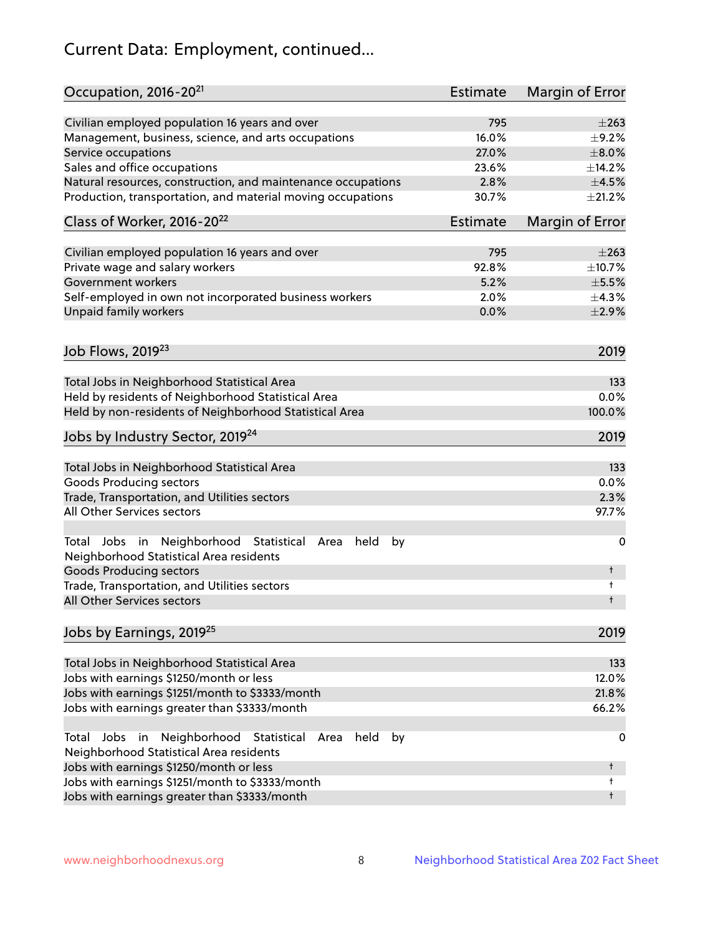# Current Data: Employment, continued...

| Occupation, 2016-20 <sup>21</sup>                                                                    | Estimate        | Margin of Error |
|------------------------------------------------------------------------------------------------------|-----------------|-----------------|
| Civilian employed population 16 years and over                                                       | 795             | $\pm 263$       |
| Management, business, science, and arts occupations                                                  | 16.0%           | $\pm$ 9.2%      |
| Service occupations                                                                                  | 27.0%           | $\pm 8.0\%$     |
| Sales and office occupations                                                                         | 23.6%           | ±14.2%          |
| Natural resources, construction, and maintenance occupations                                         | 2.8%            | $\pm 4.5\%$     |
| Production, transportation, and material moving occupations                                          | 30.7%           | ±21.2%          |
| Class of Worker, 2016-20 <sup>22</sup>                                                               | <b>Estimate</b> | Margin of Error |
| Civilian employed population 16 years and over                                                       | 795             | $\pm 263$       |
| Private wage and salary workers                                                                      | 92.8%           | ±10.7%          |
| Government workers                                                                                   | 5.2%            | $\pm$ 5.5%      |
| Self-employed in own not incorporated business workers                                               | 2.0%            | ±4.3%           |
| Unpaid family workers                                                                                | 0.0%            | $\pm 2.9\%$     |
| Job Flows, 2019 <sup>23</sup>                                                                        |                 | 2019            |
|                                                                                                      |                 |                 |
| Total Jobs in Neighborhood Statistical Area                                                          |                 | 133             |
| Held by residents of Neighborhood Statistical Area                                                   |                 | 0.0%            |
| Held by non-residents of Neighborhood Statistical Area                                               |                 | 100.0%          |
| Jobs by Industry Sector, 2019 <sup>24</sup>                                                          |                 | 2019            |
| Total Jobs in Neighborhood Statistical Area                                                          |                 | 133             |
| <b>Goods Producing sectors</b>                                                                       |                 | 0.0%            |
| Trade, Transportation, and Utilities sectors                                                         |                 | 2.3%            |
| All Other Services sectors                                                                           |                 | 97.7%           |
| Total Jobs in Neighborhood Statistical Area<br>held<br>by<br>Neighborhood Statistical Area residents |                 | 0               |
| <b>Goods Producing sectors</b>                                                                       |                 | t               |
| Trade, Transportation, and Utilities sectors<br>All Other Services sectors                           |                 | t<br>t          |
| Jobs by Earnings, 2019 <sup>25</sup>                                                                 |                 | 2019            |
|                                                                                                      |                 |                 |
| Total Jobs in Neighborhood Statistical Area                                                          |                 | 133             |
| Jobs with earnings \$1250/month or less                                                              |                 | 12.0%           |
| Jobs with earnings \$1251/month to \$3333/month                                                      |                 | 21.8%           |
| Jobs with earnings greater than \$3333/month                                                         |                 | 66.2%           |
| Neighborhood Statistical<br>Jobs<br>in<br>held<br>by<br>Total<br>Area                                |                 | 0               |
| Neighborhood Statistical Area residents                                                              |                 |                 |
| Jobs with earnings \$1250/month or less                                                              |                 | t               |
| Jobs with earnings \$1251/month to \$3333/month                                                      |                 | t               |
| Jobs with earnings greater than \$3333/month                                                         |                 | t               |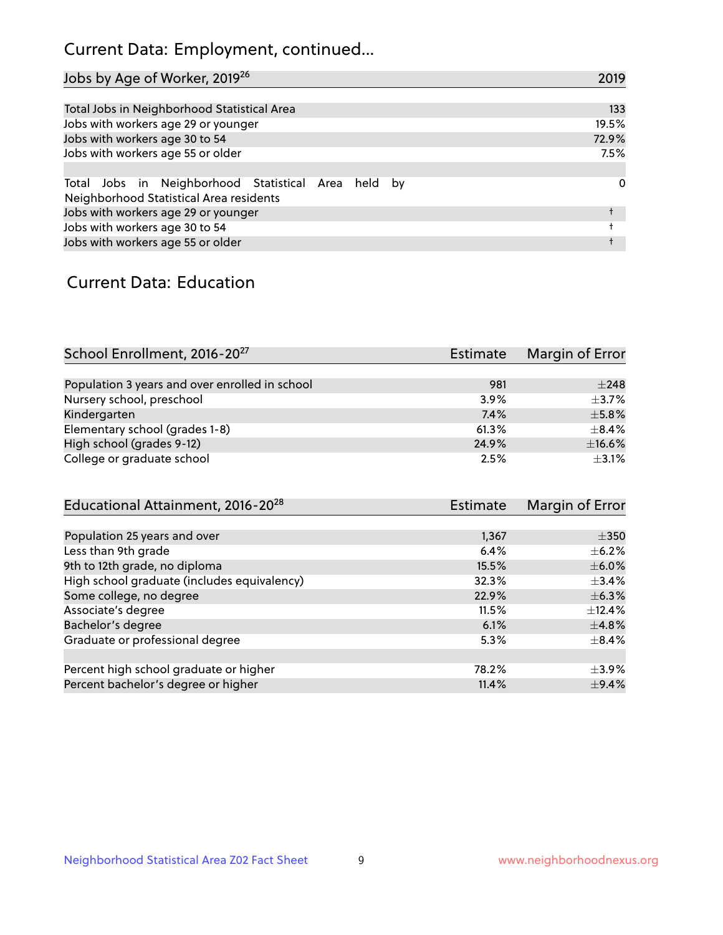# Current Data: Employment, continued...

| Jobs by Age of Worker, 2019 <sup>26</sup>                                                      | 2019  |
|------------------------------------------------------------------------------------------------|-------|
|                                                                                                |       |
| Total Jobs in Neighborhood Statistical Area                                                    | 133   |
| Jobs with workers age 29 or younger                                                            | 19.5% |
| Jobs with workers age 30 to 54                                                                 | 72.9% |
| Jobs with workers age 55 or older                                                              | 7.5%  |
|                                                                                                |       |
| Total Jobs in Neighborhood Statistical Area held by<br>Neighborhood Statistical Area residents | 0     |
| Jobs with workers age 29 or younger                                                            |       |
| Jobs with workers age 30 to 54                                                                 |       |
| Jobs with workers age 55 or older                                                              |       |

### Current Data: Education

| School Enrollment, 2016-20 <sup>27</sup>       | Estimate | Margin of Error |
|------------------------------------------------|----------|-----------------|
|                                                |          |                 |
| Population 3 years and over enrolled in school | 981      | $\pm 248$       |
| Nursery school, preschool                      | 3.9%     | $+3.7%$         |
| Kindergarten                                   | 7.4%     | $\pm$ 5.8%      |
| Elementary school (grades 1-8)                 | 61.3%    | $\pm$ 8.4%      |
| High school (grades 9-12)                      | 24.9%    | $\pm$ 16.6%     |
| College or graduate school                     | 2.5%     | $+3.1%$         |

| Educational Attainment, 2016-20 <sup>28</sup> | Estimate | Margin of Error |
|-----------------------------------------------|----------|-----------------|
|                                               |          |                 |
| Population 25 years and over                  | 1,367    | $\pm$ 350       |
| Less than 9th grade                           | 6.4%     | $\pm$ 6.2%      |
| 9th to 12th grade, no diploma                 | 15.5%    | $\pm$ 6.0%      |
| High school graduate (includes equivalency)   | 32.3%    | $+3.4%$         |
| Some college, no degree                       | 22.9%    | $\pm$ 6.3%      |
| Associate's degree                            | 11.5%    | ±12.4%          |
| Bachelor's degree                             | 6.1%     | $\pm$ 4.8%      |
| Graduate or professional degree               | 5.3%     | $\pm$ 8.4%      |
|                                               |          |                 |
| Percent high school graduate or higher        | 78.2%    | $\pm$ 3.9%      |
| Percent bachelor's degree or higher           | 11.4%    | $\pm$ 9.4%      |
|                                               |          |                 |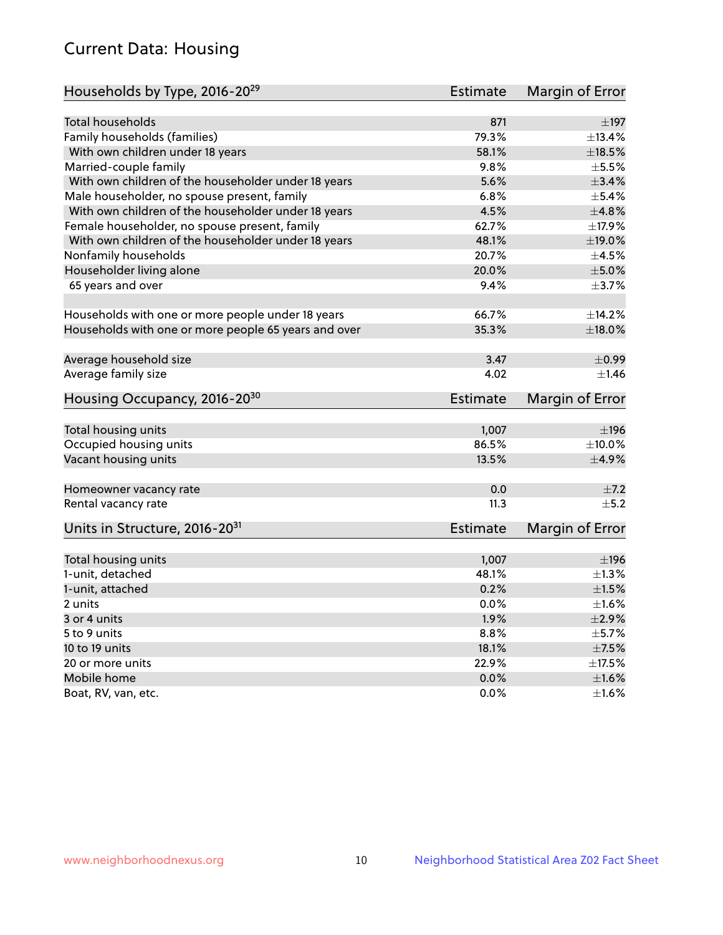# Current Data: Housing

| Households by Type, 2016-20 <sup>29</sup>            | <b>Estimate</b> | Margin of Error |
|------------------------------------------------------|-----------------|-----------------|
|                                                      |                 |                 |
| Total households                                     | 871             | $\pm$ 197       |
| Family households (families)                         | 79.3%           | ±13.4%          |
| With own children under 18 years                     | 58.1%           | $\pm$ 18.5%     |
| Married-couple family                                | 9.8%            | $\pm$ 5.5%      |
| With own children of the householder under 18 years  | 5.6%            | ±3.4%           |
| Male householder, no spouse present, family          | 6.8%            | $\pm$ 5.4%      |
| With own children of the householder under 18 years  | 4.5%            | ±4.8%           |
| Female householder, no spouse present, family        | 62.7%           | $\pm$ 17.9%     |
| With own children of the householder under 18 years  | 48.1%           | ±19.0%          |
| Nonfamily households                                 | 20.7%           | $\pm 4.5\%$     |
| Householder living alone                             | 20.0%           | $\pm$ 5.0%      |
| 65 years and over                                    | 9.4%            | ±3.7%           |
| Households with one or more people under 18 years    | 66.7%           | ±14.2%          |
| Households with one or more people 65 years and over | 35.3%           | $\pm$ 18.0%     |
|                                                      |                 |                 |
| Average household size                               | 3.47            | $\pm$ 0.99      |
| Average family size                                  | 4.02            | $\pm$ 1.46      |
| Housing Occupancy, 2016-20 <sup>30</sup>             | <b>Estimate</b> | Margin of Error |
| Total housing units                                  | 1,007           | ±196            |
| Occupied housing units                               | 86.5%           | $\pm 10.0\%$    |
| Vacant housing units                                 | 13.5%           | ±4.9%           |
|                                                      |                 |                 |
| Homeowner vacancy rate                               | 0.0             | ±7.2            |
| Rental vacancy rate                                  | 11.3            | ±5.2            |
| Units in Structure, 2016-20 <sup>31</sup>            | Estimate        | Margin of Error |
|                                                      |                 | $\pm$ 196       |
| Total housing units<br>1-unit, detached              | 1,007<br>48.1%  | $\pm 1.3\%$     |
|                                                      |                 |                 |
| 1-unit, attached                                     | 0.2%            | $\pm1.5\%$      |
| 2 units                                              | 0.0%            | $\pm 1.6\%$     |
| 3 or 4 units                                         | 1.9%            | $\pm 2.9\%$     |
| 5 to 9 units                                         | 8.8%            | $\pm$ 5.7%      |
| 10 to 19 units                                       | 18.1%           | $\pm$ 7.5%      |
| 20 or more units                                     | 22.9%           | $\pm$ 17.5%     |
| Mobile home                                          | 0.0%            | $\pm1.6\%$      |
| Boat, RV, van, etc.                                  | $0.0\%$         | $\pm$ 1.6%      |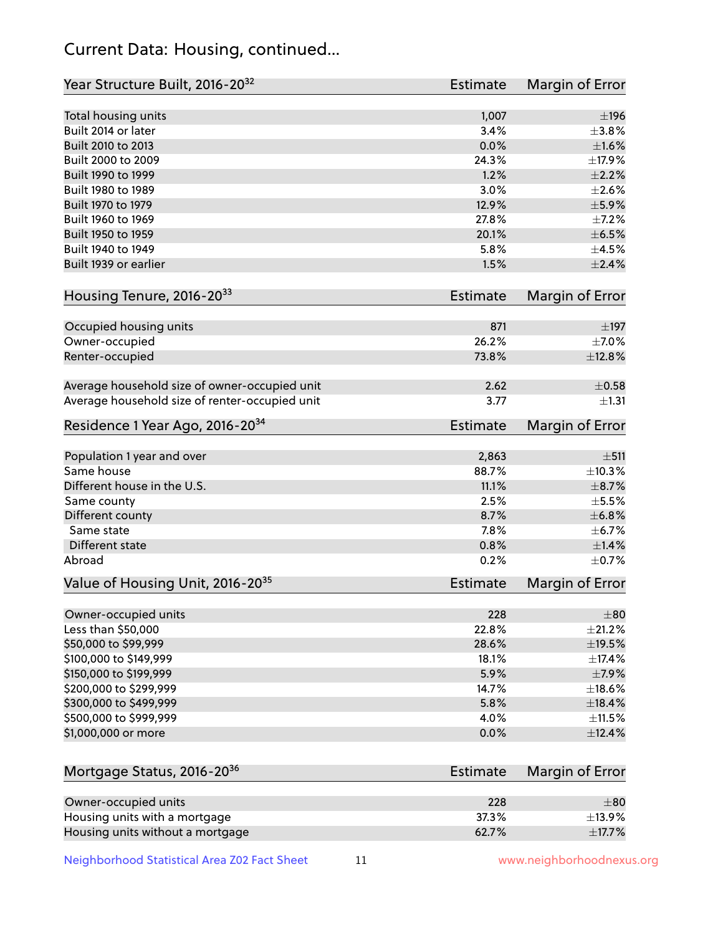# Current Data: Housing, continued...

| Year Structure Built, 2016-20 <sup>32</sup>    | <b>Estimate</b> | Margin of Error |
|------------------------------------------------|-----------------|-----------------|
| Total housing units                            | 1,007           | $\pm$ 196       |
| Built 2014 or later                            | 3.4%            | $\pm$ 3.8%      |
| Built 2010 to 2013                             | 0.0%            | $\pm1.6\%$      |
| Built 2000 to 2009                             | 24.3%           | ±17.9%          |
| Built 1990 to 1999                             | 1.2%            | $\pm 2.2\%$     |
| Built 1980 to 1989                             | 3.0%            | $\pm 2.6\%$     |
| Built 1970 to 1979                             | 12.9%           | $\pm$ 5.9%      |
| Built 1960 to 1969                             | 27.8%           | $\pm$ 7.2%      |
| Built 1950 to 1959                             | 20.1%           | $\pm$ 6.5%      |
| Built 1940 to 1949                             | 5.8%            | $\pm 4.5\%$     |
| Built 1939 or earlier                          | 1.5%            | $\pm 2.4\%$     |
| Housing Tenure, 2016-2033                      | <b>Estimate</b> | Margin of Error |
| Occupied housing units                         | 871             | $\pm$ 197       |
| Owner-occupied                                 | 26.2%           | $\pm$ 7.0%      |
| Renter-occupied                                | 73.8%           | ±12.8%          |
| Average household size of owner-occupied unit  | 2.62            | $\pm$ 0.58      |
| Average household size of renter-occupied unit | 3.77            | $\pm 1.31$      |
| Residence 1 Year Ago, 2016-20 <sup>34</sup>    | <b>Estimate</b> | Margin of Error |
|                                                |                 |                 |
| Population 1 year and over                     | 2,863           | ±511            |
| Same house                                     | 88.7%           | ±10.3%          |
| Different house in the U.S.                    | 11.1%           | $\pm$ 8.7%      |
| Same county                                    | 2.5%            | $\pm$ 5.5%      |
| Different county                               | 8.7%            | ±6.8%           |
| Same state                                     | 7.8%            | $\pm$ 6.7%      |
| Different state                                | 0.8%            | ±1.4%           |
| Abroad                                         | 0.2%            | $\pm$ 0.7%      |
| Value of Housing Unit, 2016-20 <sup>35</sup>   | <b>Estimate</b> | Margin of Error |
| Owner-occupied units                           | 228             | $\pm 80$        |
| Less than \$50,000                             | 22.8%           | $\pm 21.2\%$    |
| \$50,000 to \$99,999                           | 28.6%           | $\pm$ 19.5%     |
| \$100,000 to \$149,999                         | 18.1%           | ±17.4%          |
| \$150,000 to \$199,999                         | 5.9%            | ±7.9%           |
| \$200,000 to \$299,999                         | 14.7%           | ±18.6%          |
| \$300,000 to \$499,999                         | 5.8%            | ±18.4%          |
| \$500,000 to \$999,999                         | 4.0%            | $\pm$ 11.5%     |
| \$1,000,000 or more                            | 0.0%            | ±12.4%          |
| Mortgage Status, 2016-20 <sup>36</sup>         | <b>Estimate</b> | Margin of Error |
| Owner-occupied units                           | 228             | $\pm$ 80        |
| Housing units with a mortgage                  | 37.3%           | ±13.9%          |
| Housing units without a mortgage               | 62.7%           | ±17.7%          |

Neighborhood Statistical Area Z02 Fact Sheet 11 11 www.neighborhoodnexus.org

Housing units without a mortgage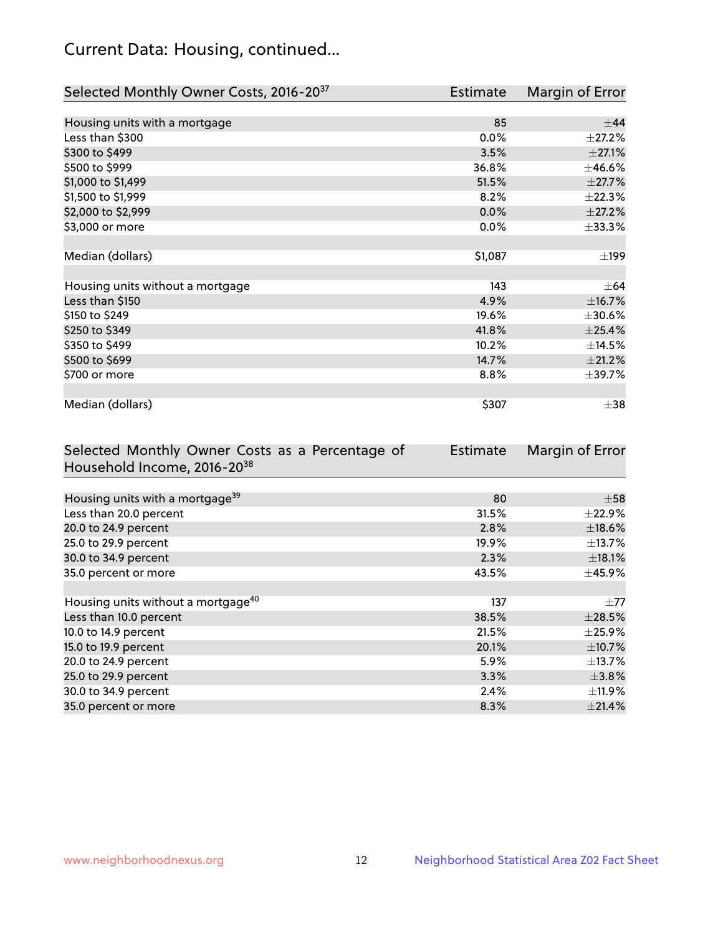# Current Data: Housing, continued...

| Selected Monthly Owner Costs, 2016-20 <sup>37</sup> | <b>Estimate</b> | Margin of Error |
|-----------------------------------------------------|-----------------|-----------------|
|                                                     |                 |                 |
| Housing units with a mortgage                       | 85              | $\pm$ 44        |
| Less than \$300                                     | $0.0\%$         | $\pm 27.2\%$    |
| \$300 to \$499                                      | 3.5%            | $\pm 27.1\%$    |
| \$500 to \$999                                      | 36.8%           | ±46.6%          |
| \$1,000 to \$1,499                                  | 51.5%           | $\pm 27.7\%$    |
| \$1,500 to \$1,999                                  | 8.2%            | ±22.3%          |
| \$2,000 to \$2,999                                  | 0.0%            | $\pm 27.2\%$    |
| \$3,000 or more                                     | 0.0%            | $\pm$ 33.3%     |
|                                                     |                 |                 |
| Median (dollars)                                    | \$1,087         | $\pm$ 199       |
|                                                     |                 |                 |
| Housing units without a mortgage                    | 143             | $\pm 64$        |
| Less than \$150                                     | 4.9%            | ±16.7%          |
| \$150 to \$249                                      | 19.6%           | $\pm 30.6\%$    |
| \$250 to \$349                                      | 41.8%           | ±25.4%          |
| \$350 to \$499                                      | 10.2%           | ±14.5%          |
| \$500 to \$699                                      | 14.7%           | $\pm 21.2\%$    |
| \$700 or more                                       | 8.8%            | ±39.7%          |
|                                                     |                 |                 |
| Median (dollars)                                    | \$307           | $\pm$ 38        |

| Selected Monthly Owner Costs as a Percentage of | <b>Estimate</b> | Margin of Error |
|-------------------------------------------------|-----------------|-----------------|
| Household Income, 2016-20 <sup>38</sup>         |                 |                 |
|                                                 |                 |                 |
| Housing units with a mortgage <sup>39</sup>     | 80              | $\pm 58$        |
| Less than 20.0 percent                          | 31.5%           | $\pm$ 22.9%     |
| 20.0 to 24.9 percent                            | 2.8%            | $\pm$ 18.6%     |
| 25.0 to 29.9 percent                            | 19.9%           | $\pm$ 13.7%     |
| 30.0 to 34.9 percent                            | 2.3%            | $\pm$ 18.1%     |
| 35.0 percent or more                            | 43.5%           | $\pm$ 45.9%     |
|                                                 |                 |                 |
| Housing units without a mortgage <sup>40</sup>  | 137             | $\pm 77$        |
| Less than 10.0 percent                          | 38.5%           | $\pm 28.5\%$    |
| 10.0 to 14.9 percent                            | 21.5%           | $\pm$ 25.9%     |
| 15.0 to 19.9 percent                            | 20.1%           | $\pm$ 10.7%     |
| 20.0 to 24.9 percent                            | 5.9%            | $\pm$ 13.7%     |
| 25.0 to 29.9 percent                            | 3.3%            | $\pm$ 3.8%      |
| 30.0 to 34.9 percent                            | 2.4%            | $\pm$ 11.9%     |
| 35.0 percent or more                            | 8.3%            | ±21.4%          |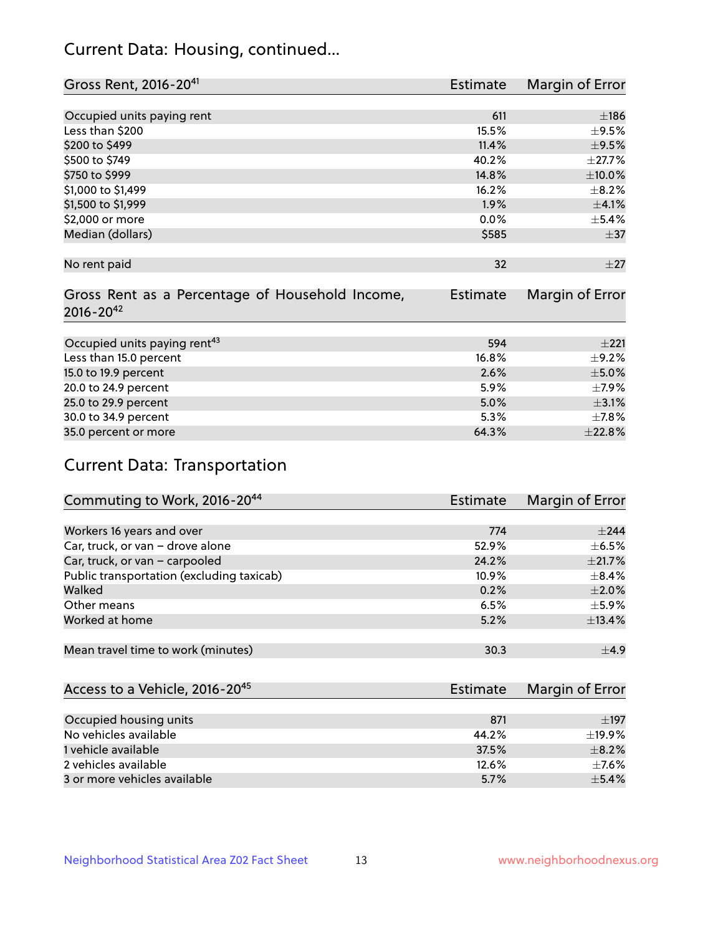# Current Data: Housing, continued...

| Gross Rent, 2016-20 <sup>41</sup>               | <b>Estimate</b> | Margin of Error |
|-------------------------------------------------|-----------------|-----------------|
|                                                 |                 |                 |
| Occupied units paying rent                      | 611             | ±186            |
| Less than \$200                                 | 15.5%           | $\pm$ 9.5%      |
| \$200 to \$499                                  | 11.4%           | $\pm$ 9.5%      |
| \$500 to \$749                                  | 40.2%           | ±27.7%          |
| \$750 to \$999                                  | 14.8%           | $\pm 10.0\%$    |
| \$1,000 to \$1,499                              | 16.2%           | $\pm$ 8.2%      |
| \$1,500 to \$1,999                              | $1.9\%$         | $\pm 4.1\%$     |
| \$2,000 or more                                 | 0.0%            | $\pm$ 5.4%      |
| Median (dollars)                                | \$585           | $\pm$ 37        |
|                                                 |                 |                 |
| No rent paid                                    | 32              | ±27             |
|                                                 |                 |                 |
| Gross Rent as a Percentage of Household Income, | <b>Estimate</b> | Margin of Error |
| $2016 - 20^{42}$                                |                 |                 |
|                                                 |                 |                 |
| Occupied units paying rent <sup>43</sup>        | 594             | ±221            |
| Less than 15.0 percent                          | 16.8%           | $\pm$ 9.2%      |
| 15.0 to 19.9 percent                            | 2.6%            | $\pm$ 5.0%      |
| 20.0 to 24.9 percent                            | 5.9%            | $\pm$ 7.9%      |
| 25.0 to 29.9 percent                            | 5.0%            | $\pm$ 3.1%      |
| 30.0 to 34.9 percent                            | 5.3%            | $\pm$ 7.8%      |
| 35.0 percent or more                            | 64.3%           | ±22.8%          |

# Current Data: Transportation

| Commuting to Work, 2016-20 <sup>44</sup>  | Estimate | Margin of Error |
|-------------------------------------------|----------|-----------------|
|                                           |          |                 |
| Workers 16 years and over                 | 774      | $+244$          |
| Car, truck, or van - drove alone          | 52.9%    | $\pm$ 6.5%      |
| Car, truck, or van - carpooled            | 24.2%    | $\pm 21.7\%$    |
| Public transportation (excluding taxicab) | 10.9%    | $\pm$ 8.4%      |
| Walked                                    | 0.2%     | $\pm 2.0\%$     |
| Other means                               | 6.5%     | $\pm$ 5.9%      |
| Worked at home                            | 5.2%     | ±13.4%          |
|                                           |          |                 |
| Mean travel time to work (minutes)        | 30.3     | $\pm$ 4.9       |

| Access to a Vehicle, 2016-20 <sup>45</sup> | Estimate | Margin of Error |
|--------------------------------------------|----------|-----------------|
|                                            |          |                 |
| Occupied housing units                     | 871      | $\pm$ 197       |
| No vehicles available                      | 44.2%    | $+19.9%$        |
| 1 vehicle available                        | 37.5%    | $\pm$ 8.2%      |
| 2 vehicles available                       | 12.6%    | $+7.6%$         |
| 3 or more vehicles available               | 5.7%     | $+5.4%$         |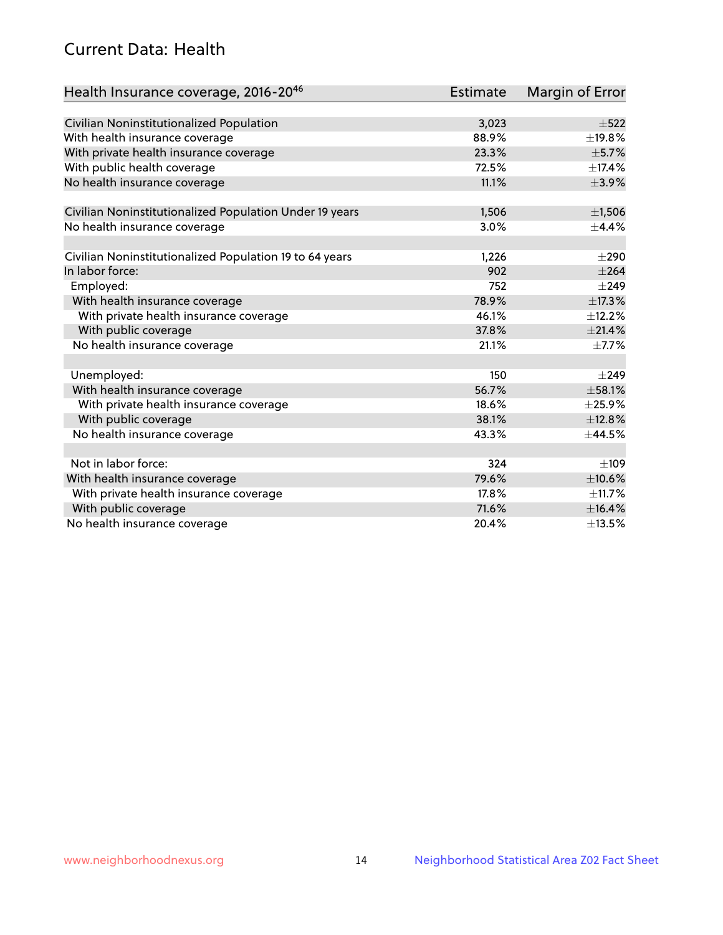# Current Data: Health

| Health Insurance coverage, 2016-2046                    | <b>Estimate</b> | Margin of Error |
|---------------------------------------------------------|-----------------|-----------------|
|                                                         |                 |                 |
| Civilian Noninstitutionalized Population                | 3,023           | $\pm$ 522       |
| With health insurance coverage                          | 88.9%           | ±19.8%          |
| With private health insurance coverage                  | 23.3%           | $\pm$ 5.7%      |
| With public health coverage                             | 72.5%           | ±17.4%          |
| No health insurance coverage                            | 11.1%           | $\pm$ 3.9%      |
| Civilian Noninstitutionalized Population Under 19 years | 1,506           | $\pm$ 1,506     |
|                                                         | 3.0%            | $\pm$ 4.4%      |
| No health insurance coverage                            |                 |                 |
| Civilian Noninstitutionalized Population 19 to 64 years | 1,226           | $\pm 290$       |
| In labor force:                                         | 902             | $\pm 264$       |
| Employed:                                               | 752             | $\pm$ 249       |
| With health insurance coverage                          | 78.9%           | $\pm$ 17.3%     |
| With private health insurance coverage                  | 46.1%           | ±12.2%          |
| With public coverage                                    | 37.8%           | ±21.4%          |
| No health insurance coverage                            | 21.1%           | $\pm$ 7.7%      |
|                                                         |                 |                 |
| Unemployed:                                             | 150             | $\pm$ 249       |
| With health insurance coverage                          | 56.7%           | $\pm$ 58.1%     |
| With private health insurance coverage                  | 18.6%           | ±25.9%          |
| With public coverage                                    | 38.1%           | ±12.8%          |
| No health insurance coverage                            | 43.3%           | ±44.5%          |
|                                                         |                 |                 |
| Not in labor force:                                     | 324             | ±109            |
| With health insurance coverage                          | 79.6%           | $\pm 10.6\%$    |
| With private health insurance coverage                  | 17.8%           | ±11.7%          |
| With public coverage                                    | 71.6%           | ±16.4%          |
| No health insurance coverage                            | 20.4%           | ±13.5%          |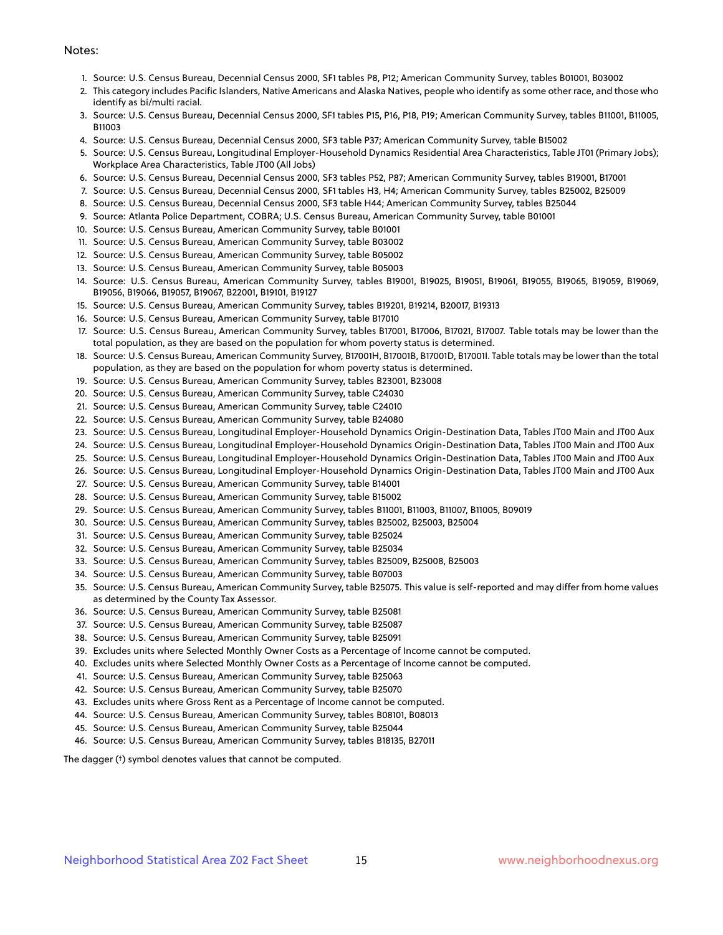#### Notes:

- 1. Source: U.S. Census Bureau, Decennial Census 2000, SF1 tables P8, P12; American Community Survey, tables B01001, B03002
- 2. This category includes Pacific Islanders, Native Americans and Alaska Natives, people who identify as some other race, and those who identify as bi/multi racial.
- 3. Source: U.S. Census Bureau, Decennial Census 2000, SF1 tables P15, P16, P18, P19; American Community Survey, tables B11001, B11005, B11003
- 4. Source: U.S. Census Bureau, Decennial Census 2000, SF3 table P37; American Community Survey, table B15002
- 5. Source: U.S. Census Bureau, Longitudinal Employer-Household Dynamics Residential Area Characteristics, Table JT01 (Primary Jobs); Workplace Area Characteristics, Table JT00 (All Jobs)
- 6. Source: U.S. Census Bureau, Decennial Census 2000, SF3 tables P52, P87; American Community Survey, tables B19001, B17001
- 7. Source: U.S. Census Bureau, Decennial Census 2000, SF1 tables H3, H4; American Community Survey, tables B25002, B25009
- 8. Source: U.S. Census Bureau, Decennial Census 2000, SF3 table H44; American Community Survey, tables B25044
- 9. Source: Atlanta Police Department, COBRA; U.S. Census Bureau, American Community Survey, table B01001
- 10. Source: U.S. Census Bureau, American Community Survey, table B01001
- 11. Source: U.S. Census Bureau, American Community Survey, table B03002
- 12. Source: U.S. Census Bureau, American Community Survey, table B05002
- 13. Source: U.S. Census Bureau, American Community Survey, table B05003
- 14. Source: U.S. Census Bureau, American Community Survey, tables B19001, B19025, B19051, B19061, B19055, B19065, B19059, B19069, B19056, B19066, B19057, B19067, B22001, B19101, B19127
- 15. Source: U.S. Census Bureau, American Community Survey, tables B19201, B19214, B20017, B19313
- 16. Source: U.S. Census Bureau, American Community Survey, table B17010
- 17. Source: U.S. Census Bureau, American Community Survey, tables B17001, B17006, B17021, B17007. Table totals may be lower than the total population, as they are based on the population for whom poverty status is determined.
- 18. Source: U.S. Census Bureau, American Community Survey, B17001H, B17001B, B17001D, B17001I. Table totals may be lower than the total population, as they are based on the population for whom poverty status is determined.
- 19. Source: U.S. Census Bureau, American Community Survey, tables B23001, B23008
- 20. Source: U.S. Census Bureau, American Community Survey, table C24030
- 21. Source: U.S. Census Bureau, American Community Survey, table C24010
- 22. Source: U.S. Census Bureau, American Community Survey, table B24080
- 23. Source: U.S. Census Bureau, Longitudinal Employer-Household Dynamics Origin-Destination Data, Tables JT00 Main and JT00 Aux
- 24. Source: U.S. Census Bureau, Longitudinal Employer-Household Dynamics Origin-Destination Data, Tables JT00 Main and JT00 Aux
- 25. Source: U.S. Census Bureau, Longitudinal Employer-Household Dynamics Origin-Destination Data, Tables JT00 Main and JT00 Aux
- 26. Source: U.S. Census Bureau, Longitudinal Employer-Household Dynamics Origin-Destination Data, Tables JT00 Main and JT00 Aux
- 27. Source: U.S. Census Bureau, American Community Survey, table B14001
- 28. Source: U.S. Census Bureau, American Community Survey, table B15002
- 29. Source: U.S. Census Bureau, American Community Survey, tables B11001, B11003, B11007, B11005, B09019
- 30. Source: U.S. Census Bureau, American Community Survey, tables B25002, B25003, B25004
- 31. Source: U.S. Census Bureau, American Community Survey, table B25024
- 32. Source: U.S. Census Bureau, American Community Survey, table B25034
- 33. Source: U.S. Census Bureau, American Community Survey, tables B25009, B25008, B25003
- 34. Source: U.S. Census Bureau, American Community Survey, table B07003
- 35. Source: U.S. Census Bureau, American Community Survey, table B25075. This value is self-reported and may differ from home values as determined by the County Tax Assessor.
- 36. Source: U.S. Census Bureau, American Community Survey, table B25081
- 37. Source: U.S. Census Bureau, American Community Survey, table B25087
- 38. Source: U.S. Census Bureau, American Community Survey, table B25091
- 39. Excludes units where Selected Monthly Owner Costs as a Percentage of Income cannot be computed.
- 40. Excludes units where Selected Monthly Owner Costs as a Percentage of Income cannot be computed.
- 41. Source: U.S. Census Bureau, American Community Survey, table B25063
- 42. Source: U.S. Census Bureau, American Community Survey, table B25070
- 43. Excludes units where Gross Rent as a Percentage of Income cannot be computed.
- 44. Source: U.S. Census Bureau, American Community Survey, tables B08101, B08013
- 45. Source: U.S. Census Bureau, American Community Survey, table B25044
- 46. Source: U.S. Census Bureau, American Community Survey, tables B18135, B27011

The dagger (†) symbol denotes values that cannot be computed.